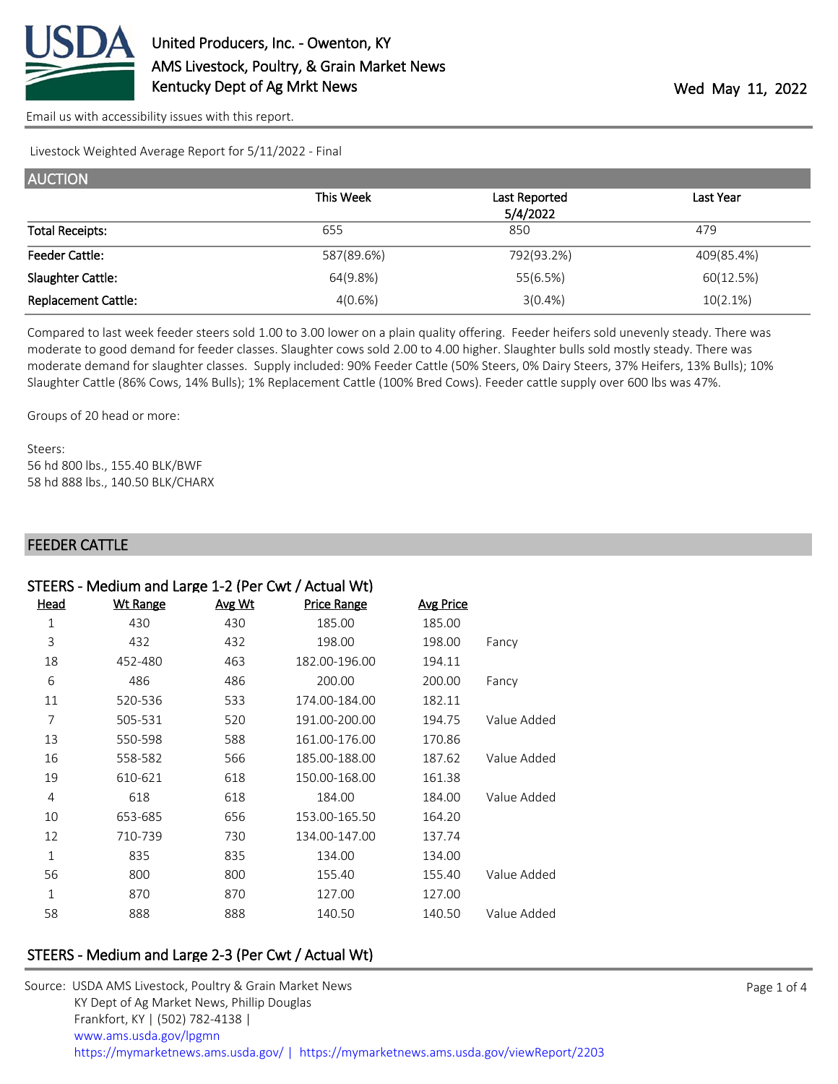

[Email us with accessibility issues with this report.](mailto:mars@ams.usda.gov?subject=508%20issue)

Livestock Weighted Average Report for 5/11/2022 - Final

| <b>AUCTION</b>             |            |               |            |  |
|----------------------------|------------|---------------|------------|--|
|                            | This Week  | Last Reported | Last Year  |  |
|                            |            | 5/4/2022      |            |  |
| <b>Total Receipts:</b>     | 655        | 850           | 479        |  |
| <b>Feeder Cattle:</b>      | 587(89.6%) | 792(93.2%)    | 409(85.4%) |  |
| Slaughter Cattle:          | 64(9.8%)   | 55(6.5%)      | 60(12.5%)  |  |
| <b>Replacement Cattle:</b> | 4(0.6%)    | $3(0.4\%)$    | 10(2.1%)   |  |

Compared to last week feeder steers sold 1.00 to 3.00 lower on a plain quality offering. Feeder heifers sold unevenly steady. There was moderate to good demand for feeder classes. Slaughter cows sold 2.00 to 4.00 higher. Slaughter bulls sold mostly steady. There was moderate demand for slaughter classes. Supply included: 90% Feeder Cattle (50% Steers, 0% Dairy Steers, 37% Heifers, 13% Bulls); 10% Slaughter Cattle (86% Cows, 14% Bulls); 1% Replacement Cattle (100% Bred Cows). Feeder cattle supply over 600 lbs was 47%.

Groups of 20 head or more:

Steers: 56 hd 800 lbs., 155.40 BLK/BWF 58 hd 888 lbs., 140.50 BLK/CHARX

#### FEEDER CATTLE

|             |                  |                    |        | STEERS - Medium and Large 1-2 (Per Cwt / Actual Wt) |      |
|-------------|------------------|--------------------|--------|-----------------------------------------------------|------|
|             | <b>Avg Price</b> | <b>Price Range</b> | Avg Wt | <b>Wt Range</b>                                     | Head |
|             | 185.00           | 185.00             | 430    | 430                                                 | 1    |
| Fancy       | 198.00           | 198.00             | 432    | 432                                                 | 3    |
|             | 194.11           | 182.00-196.00      | 463    | 452-480                                             | 18   |
| Fancy       | 200.00           | 200.00             | 486    | 486                                                 | 6    |
|             | 182.11           | 174.00-184.00      | 533    | 520-536                                             | 11   |
| Value Added | 194.75           | 191.00-200.00      | 520    | 505-531                                             | 7    |
|             | 170.86           | 161.00-176.00      | 588    | 550-598                                             | 13   |
| Value Added | 187.62           | 185.00-188.00      | 566    | 558-582                                             | 16   |
|             | 161.38           | 150.00-168.00      | 618    | 610-621                                             | 19   |
| Value Added | 184.00           | 184.00             | 618    | 618                                                 | 4    |
|             | 164.20           | 153.00-165.50      | 656    | 653-685                                             | 10   |
|             | 137.74           | 134.00-147.00      | 730    | 710-739                                             | 12   |
|             | 134.00           | 134.00             | 835    | 835                                                 | 1    |
| Value Added | 155.40           | 155.40             | 800    | 800                                                 | 56   |
|             | 127.00           | 127.00             | 870    | 870                                                 | 1    |
| Value Added | 140.50           | 140.50             | 888    | 888                                                 | 58   |
|             |                  |                    |        |                                                     |      |

## STEERS - Medium and Large 2-3 (Per Cwt / Actual Wt)

| Source: USDA AMS Livestock, Poultry & Grain Market News                                |
|----------------------------------------------------------------------------------------|
| KY Dept of Ag Market News, Phillip Douglas                                             |
| Frankfort, KY   (502) 782-4138                                                         |
| www.ams.usda.gov/lpgmn                                                                 |
| https://mymarketnews.ams.usda.gov/   https://mymarketnews.ams.usda.gov/viewReport/2203 |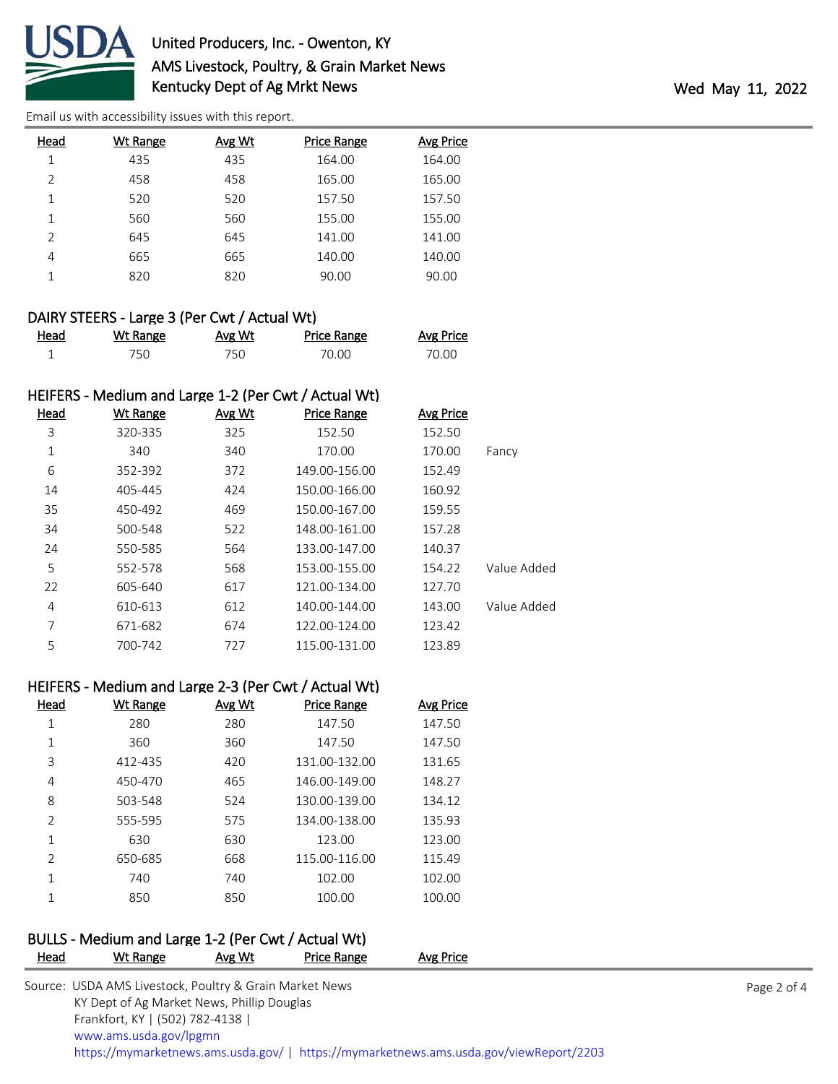

[Email us with accessibility issues with this report.](mailto:mars@ams.usda.gov?subject=508%20issue)

| Head           | Wt Range | Avg Wt | <b>Price Range</b> | <b>Avg Price</b> |
|----------------|----------|--------|--------------------|------------------|
| 1              | 435      | 435    | 164.00             | 164.00           |
| $\mathfrak{D}$ | 458      | 458    | 165.00             | 165.00           |
| 1              | 520      | 520    | 157.50             | 157.50           |
|                | 560      | 560    | 155.00             | 155.00           |
| $\mathcal{P}$  | 645      | 645    | 141.00             | 141.00           |
| 4              | 665      | 665    | 140.00             | 140.00           |
|                | 820      | 820    | 90.00              | 90.00            |
|                |          |        |                    |                  |

#### DAIRY STEERS - Large 3 (Per Cwt / Actual Wt)

| <u>Head</u> | <b>Wt Range</b> | Avg Wt | Price Range | <b>Avg Price</b> |
|-------------|-----------------|--------|-------------|------------------|
|             | 750.            | 750.   | 70.00       | 70.00            |

#### HEIFERS - Medium and Large 1-2 (Per Cwt / Actual Wt)

| Head | <b>Wt Range</b> | Avg Wt | <b>Price Range</b> | <b>Avg Price</b> |             |
|------|-----------------|--------|--------------------|------------------|-------------|
| 3    | 320-335         | 325    | 152.50             | 152.50           |             |
| 1    | 340             | 340    | 170.00             | 170.00           | Fancy       |
| 6    | 352-392         | 372    | 149.00-156.00      | 152.49           |             |
| 14   | 405-445         | 424    | 150.00-166.00      | 160.92           |             |
| 35   | 450-492         | 469    | 150.00-167.00      | 159.55           |             |
| 34   | 500-548         | 522    | 148.00-161.00      | 157.28           |             |
| 24   | 550-585         | 564    | 133.00-147.00      | 140.37           |             |
| 5    | 552-578         | 568    | 153.00-155.00      | 154.22           | Value Added |
| 22   | 605-640         | 617    | 121.00-134.00      | 127.70           |             |
| 4    | 610-613         | 612    | 140.00-144.00      | 143.00           | Value Added |
| 7    | 671-682         | 674    | 122.00-124.00      | 123.42           |             |
| 5    | 700-742         | 727    | 115.00-131.00      | 123.89           |             |

# HEIFERS - Medium and Large 2-3 (Per Cwt / Actual Wt)

| Head          | Wt Range | Avg Wt | <b>Price Range</b> | Avg Price |
|---------------|----------|--------|--------------------|-----------|
| 1             | 280      | 280    | 147.50             | 147.50    |
| 1             | 360      | 360    | 147.50             | 147.50    |
| 3             | 412-435  | 420    | 131.00-132.00      | 131.65    |
| 4             | 450-470  | 465    | 146.00-149.00      | 148.27    |
| 8             | 503-548  | 524    | 130.00-139.00      | 134.12    |
| $\mathcal{P}$ | 555-595  | 575    | 134.00-138.00      | 135.93    |
| 1             | 630      | 630    | 123.00             | 123.00    |
| $\mathcal{P}$ | 650-685  | 668    | 115.00-116.00      | 115.49    |
| 1             | 740      | 740    | 102.00             | 102.00    |
| 1             | 850      | 850    | 100.00             | 100.00    |

# BULLS - Medium and Large 1-2 (Per Cwt / Actual Wt)

| <b>Head</b> | Wt Range                                                | Avg Wt | Price Range | Avg Price                                                                              |             |
|-------------|---------------------------------------------------------|--------|-------------|----------------------------------------------------------------------------------------|-------------|
|             | Source: USDA AMS Livestock, Poultry & Grain Market News |        |             |                                                                                        | Page 2 of 4 |
|             | KY Dept of Ag Market News, Phillip Douglas              |        |             |                                                                                        |             |
|             | Frankfort, KY   (502) 782-4138                          |        |             |                                                                                        |             |
|             | www.ams.usda.gov/lpgmn                                  |        |             |                                                                                        |             |
|             |                                                         |        |             | https://mymarketnews.ams.usda.gov/   https://mymarketnews.ams.usda.gov/viewReport/2203 |             |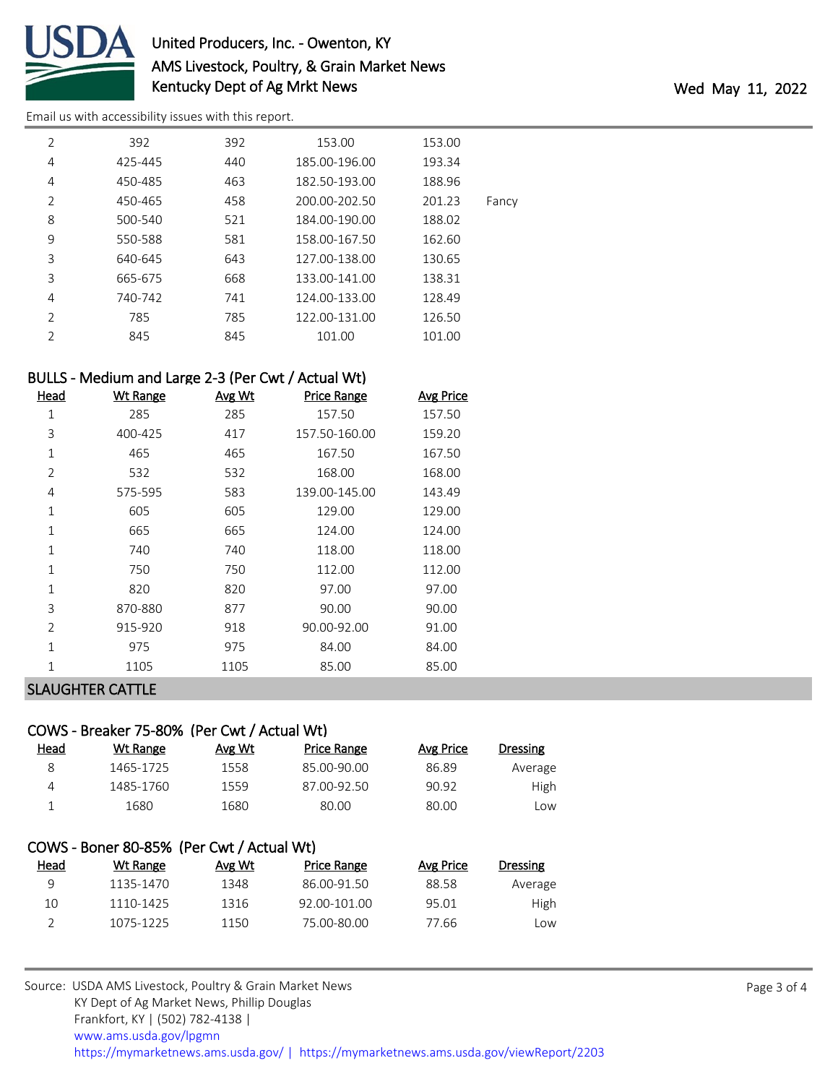

# United Producers, Inc. - Owenton, KY AMS Livestock, Poultry, & Grain Market News Kentucky Dept of Ag Mrkt News Wed May 11, 2022

[Email us with accessibility issues with this report.](mailto:mars@ams.usda.gov?subject=508%20issue)

| $\overline{2}$ | 392     | 392 | 153.00        | 153.00 |       |
|----------------|---------|-----|---------------|--------|-------|
| 4              | 425-445 | 440 | 185.00-196.00 | 193.34 |       |
| 4              | 450-485 | 463 | 182.50-193.00 | 188.96 |       |
| $\mathcal{P}$  | 450-465 | 458 | 200.00-202.50 | 201.23 | Fancy |
| 8              | 500-540 | 521 | 184.00-190.00 | 188.02 |       |
| 9              | 550-588 | 581 | 158.00-167.50 | 162.60 |       |
| 3              | 640-645 | 643 | 127.00-138.00 | 130.65 |       |
| 3              | 665-675 | 668 | 133.00-141.00 | 138.31 |       |
| 4              | 740-742 | 741 | 124.00-133.00 | 128.49 |       |
| $\mathcal{P}$  | 785     | 785 | 122.00-131.00 | 126.50 |       |
| $\mathcal{P}$  | 845     | 845 | 101.00        | 101.00 |       |
|                |         |     |               |        |       |

### BULLS - Medium and Large 2-3 (Per Cwt / Actual Wt)

| <b>Head</b>    | <b>Wt Range</b> | Avg Wt | <b>Price Range</b> | <b>Avg Price</b> |
|----------------|-----------------|--------|--------------------|------------------|
| 1              | 285             | 285    | 157.50             | 157.50           |
| 3              | 400-425         | 417    | 157.50-160.00      | 159.20           |
| 1              | 465             | 465    | 167.50             | 167.50           |
| 2              | 532             | 532    | 168.00             | 168.00           |
| 4              | 575-595         | 583    | 139.00-145.00      | 143.49           |
| 1              | 605             | 605    | 129.00             | 129.00           |
| 1              | 665             | 665    | 124.00             | 124.00           |
| 1              | 740             | 740    | 118.00             | 118.00           |
| $\mathbf 1$    | 750             | 750    | 112.00             | 112.00           |
| 1              | 820             | 820    | 97.00              | 97.00            |
| 3              | 870-880         | 877    | 90.00              | 90.00            |
| $\overline{2}$ | 915-920         | 918    | 90.00-92.00        | 91.00            |
| $\mathbf{1}$   | 975             | 975    | 84.00              | 84.00            |
| 1              | 1105            | 1105   | 85.00              | 85.00            |
|                |                 |        |                    |                  |

# SLAUGHTER CATTLE

|                | COWS - Breaker 75-80% (Per Cwt / Actual Wt) |        |                    |                  |                 |
|----------------|---------------------------------------------|--------|--------------------|------------------|-----------------|
| Head           | Wt Range                                    | Avg Wt | <b>Price Range</b> | <b>Avg Price</b> | <b>Dressing</b> |
| 8              | 1465-1725                                   | 1558   | 85.00-90.00        | 86.89            | Average         |
| 4              | 1485-1760                                   | 1559   | 87.00-92.50        | 90.92            | High            |
| 1              | 1680                                        | 1680   | 80.00              | 80.00            | Low             |
|                |                                             |        |                    |                  |                 |
|                | COWS - Boner 80-85% (Per Cwt / Actual Wt)   |        |                    |                  |                 |
| Head           | Wt Range                                    | Avg Wt | <b>Price Range</b> | <b>Avg Price</b> | <b>Dressing</b> |
| 9              | 1135-1470                                   | 1348   | 86.00-91.50        | 88.58            | Average         |
| 10             | 1110-1425                                   | 1316   | 92.00-101.00       | 95.01            | High            |
| $\overline{2}$ | 1075-1225                                   | 1150   | 75.00-80.00        | 77.66            | Low             |